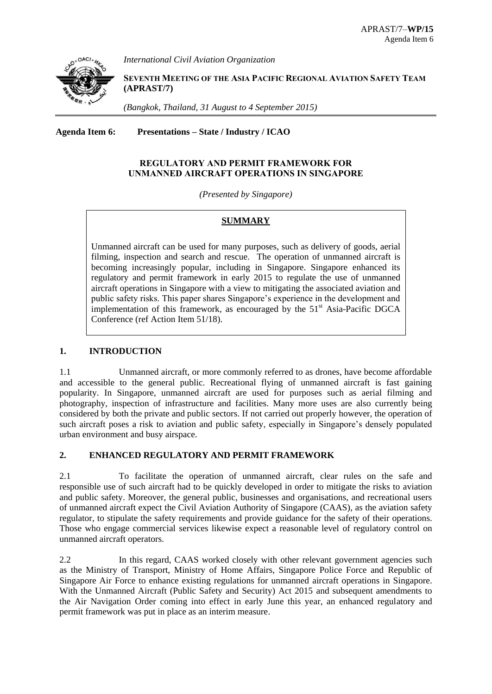

*International Civil Aviation Organization*

**SEVENTH MEETING OF THE ASIA PACIFIC REGIONAL AVIATION SAFETY TEAM (APRAST/7)** 

*(Bangkok, Thailand, 31 August to 4 September 2015)*

**Agenda Item 6: Presentations – State / Industry / ICAO**

# **REGULATORY AND PERMIT FRAMEWORK FOR UNMANNED AIRCRAFT OPERATIONS IN SINGAPORE**

*(Presented by Singapore)*

## **SUMMARY**

Unmanned aircraft can be used for many purposes, such as delivery of goods, aerial filming, inspection and search and rescue. The operation of unmanned aircraft is becoming increasingly popular, including in Singapore. Singapore enhanced its regulatory and permit framework in early 2015 to regulate the use of unmanned aircraft operations in Singapore with a view to mitigating the associated aviation and public safety risks. This paper shares Singapore's experience in the development and implementation of this framework, as encouraged by the  $51<sup>st</sup>$  Asia-Pacific DGCA Conference (ref Action Item 51/18).

### **1. INTRODUCTION**

1.1 Unmanned aircraft, or more commonly referred to as drones, have become affordable and accessible to the general public. Recreational flying of unmanned aircraft is fast gaining popularity. In Singapore, unmanned aircraft are used for purposes such as aerial filming and photography, inspection of infrastructure and facilities. Many more uses are also currently being considered by both the private and public sectors. If not carried out properly however, the operation of such aircraft poses a risk to aviation and public safety, especially in Singapore's densely populated urban environment and busy airspace.

# **2. ENHANCED REGULATORY AND PERMIT FRAMEWORK**

2.1 To facilitate the operation of unmanned aircraft, clear rules on the safe and responsible use of such aircraft had to be quickly developed in order to mitigate the risks to aviation and public safety. Moreover, the general public, businesses and organisations, and recreational users of unmanned aircraft expect the Civil Aviation Authority of Singapore (CAAS), as the aviation safety regulator, to stipulate the safety requirements and provide guidance for the safety of their operations. Those who engage commercial services likewise expect a reasonable level of regulatory control on unmanned aircraft operators.

2.2 In this regard, CAAS worked closely with other relevant government agencies such as the Ministry of Transport, Ministry of Home Affairs, Singapore Police Force and Republic of Singapore Air Force to enhance existing regulations for unmanned aircraft operations in Singapore. With the Unmanned Aircraft (Public Safety and Security) Act 2015 and subsequent amendments to the Air Navigation Order coming into effect in early June this year, an enhanced regulatory and permit framework was put in place as an interim measure.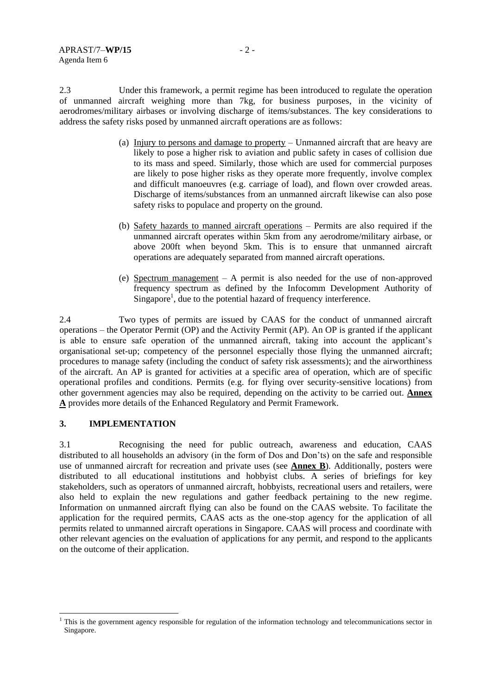2.3 Under this framework, a permit regime has been introduced to regulate the operation of unmanned aircraft weighing more than 7kg, for business purposes, in the vicinity of aerodromes/military airbases or involving discharge of items/substances. The key considerations to address the safety risks posed by unmanned aircraft operations are as follows:

- (a) Injury to persons and damage to property Unmanned aircraft that are heavy are likely to pose a higher risk to aviation and public safety in cases of collision due to its mass and speed. Similarly, those which are used for commercial purposes are likely to pose higher risks as they operate more frequently, involve complex and difficult manoeuvres (e.g. carriage of load), and flown over crowded areas. Discharge of items/substances from an unmanned aircraft likewise can also pose safety risks to populace and property on the ground.
- (b) Safety hazards to manned aircraft operations Permits are also required if the unmanned aircraft operates within 5km from any aerodrome/military airbase, or above 200ft when beyond 5km. This is to ensure that unmanned aircraft operations are adequately separated from manned aircraft operations.
- (e) Spectrum management A permit is also needed for the use of non-approved frequency spectrum as defined by the Infocomm Development Authority of Singapore<sup>1</sup>, due to the potential hazard of frequency interference.

2.4 Two types of permits are issued by CAAS for the conduct of unmanned aircraft operations – the Operator Permit (OP) and the Activity Permit (AP). An OP is granted if the applicant is able to ensure safe operation of the unmanned aircraft, taking into account the applicant's organisational set-up; competency of the personnel especially those flying the unmanned aircraft; procedures to manage safety (including the conduct of safety risk assessments); and the airworthiness of the aircraft. An AP is granted for activities at a specific area of operation, which are of specific operational profiles and conditions. Permits (e.g. for flying over security-sensitive locations) from other government agencies may also be required, depending on the activity to be carried out. **Annex A** provides more details of the Enhanced Regulatory and Permit Framework.

### **3. IMPLEMENTATION**

-

3.1 Recognising the need for public outreach, awareness and education, CAAS distributed to all households an advisory (in the form of Dos and Don'ts) on the safe and responsible use of unmanned aircraft for recreation and private uses (see **Annex B**). Additionally, posters were distributed to all educational institutions and hobbyist clubs. A series of briefings for key stakeholders, such as operators of unmanned aircraft, hobbyists, recreational users and retailers, were also held to explain the new regulations and gather feedback pertaining to the new regime. Information on unmanned aircraft flying can also be found on the CAAS website. To facilitate the application for the required permits, CAAS acts as the one-stop agency for the application of all permits related to unmanned aircraft operations in Singapore. CAAS will process and coordinate with other relevant agencies on the evaluation of applications for any permit, and respond to the applicants on the outcome of their application.

 $<sup>1</sup>$  This is the government agency responsible for regulation of the information technology and telecommunications sector in</sup> Singapore.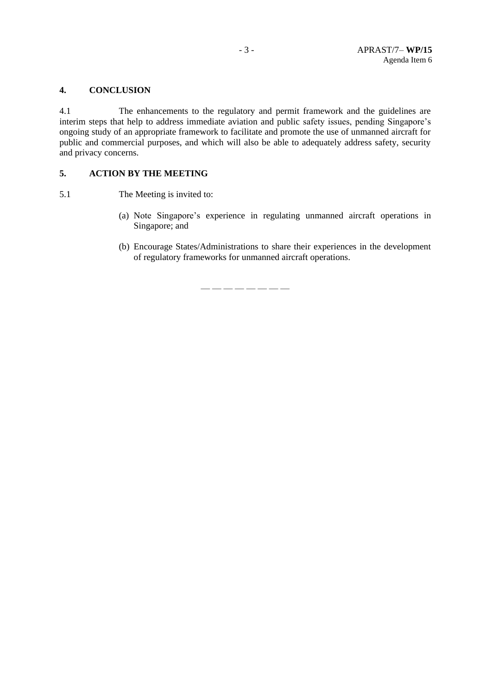### **4. CONCLUSION**

4.1 The enhancements to the regulatory and permit framework and the guidelines are interim steps that help to address immediate aviation and public safety issues, pending Singapore's ongoing study of an appropriate framework to facilitate and promote the use of unmanned aircraft for public and commercial purposes, and which will also be able to adequately address safety, security and privacy concerns.

#### **5. ACTION BY THE MEETING**

5.1 The Meeting is invited to:

- (a) Note Singapore's experience in regulating unmanned aircraft operations in Singapore; and
- (b) Encourage States/Administrations to share their experiences in the development of regulatory frameworks for unmanned aircraft operations.

— — — — — — — —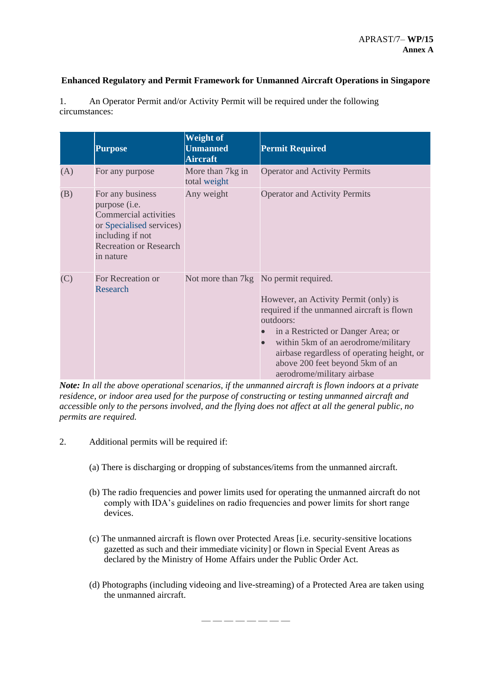## **Enhanced Regulatory and Permit Framework for Unmanned Aircraft Operations in Singapore**

|     | <b>Purpose</b>                                                                                                                                           | <b>Weight of</b><br><b>Unmanned</b><br><b>Aircraft</b> | <b>Permit Required</b>                                                                                                                                                                                                                                                                                                                |
|-----|----------------------------------------------------------------------------------------------------------------------------------------------------------|--------------------------------------------------------|---------------------------------------------------------------------------------------------------------------------------------------------------------------------------------------------------------------------------------------------------------------------------------------------------------------------------------------|
| (A) | For any purpose                                                                                                                                          | More than 7kg in<br>total weight                       | <b>Operator and Activity Permits</b>                                                                                                                                                                                                                                                                                                  |
| (B) | For any business<br>purpose (i.e.<br>Commercial activities<br>or Specialised services)<br>including if not<br><b>Recreation or Research</b><br>in nature | Any weight                                             | <b>Operator and Activity Permits</b>                                                                                                                                                                                                                                                                                                  |
| (C) | For Recreation or<br>Research                                                                                                                            |                                                        | Not more than 7kg No permit required.<br>However, an Activity Permit (only) is<br>required if the unmanned aircraft is flown<br>outdoors:<br>in a Restricted or Danger Area; or<br>within 5km of an aerodrome/military<br>airbase regardless of operating height, or<br>above 200 feet beyond 5km of an<br>aerodrome/military airbase |

1. An Operator Permit and/or Activity Permit will be required under the following circumstances:

*Note: In all the above operational scenarios, if the unmanned aircraft is flown indoors at a private residence, or indoor area used for the purpose of constructing or testing unmanned aircraft and accessible only to the persons involved, and the flying does not affect at all the general public, no permits are required.*

- 2. Additional permits will be required if:
	- (a) There is discharging or dropping of substances/items from the unmanned aircraft.
	- (b) The radio frequencies and power limits used for operating the unmanned aircraft do not comply with IDA's guidelines on radio frequencies and power limits for short range devices.
	- (c) The unmanned aircraft is flown over Protected Areas [i.e. security-sensitive locations gazetted as such and their immediate vicinity] or flown in Special Event Areas as declared by the Ministry of Home Affairs under the Public Order Act.
	- (d) Photographs (including videoing and live-streaming) of a Protected Area are taken using the unmanned aircraft.

— — — — — — — —